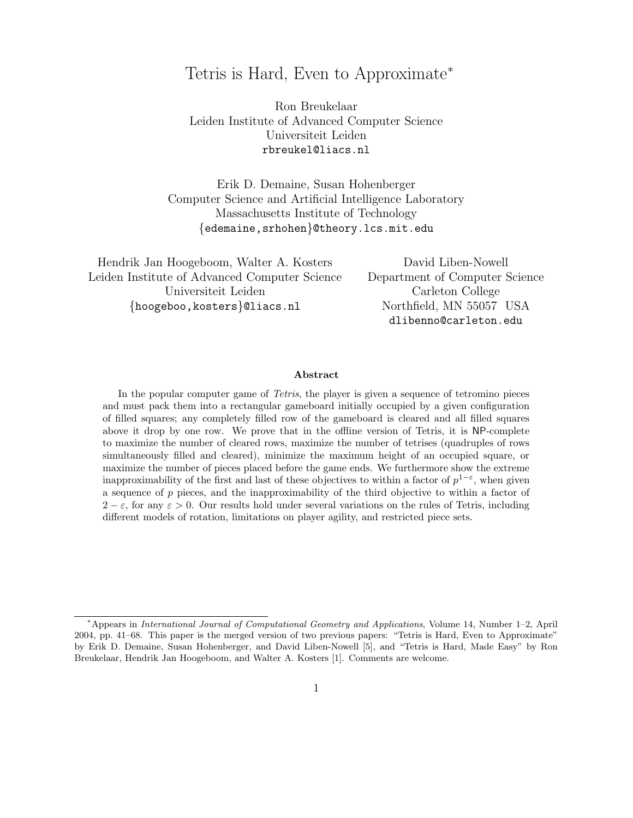## Tetris is Hard, Even to Approximate<sup>∗</sup>

Ron Breukelaar Leiden Institute of Advanced Computer Science Universiteit Leiden rbreukel@liacs.nl

Erik D. Demaine, Susan Hohenberger Computer Science and Artificial Intelligence Laboratory Massachusetts Institute of Technology {edemaine,srhohen}@theory.lcs.mit.edu

Hendrik Jan Hoogeboom, Walter A. Kosters Leiden Institute of Advanced Computer Science Universiteit Leiden {hoogeboo,kosters}@liacs.nl

David Liben-Nowell Department of Computer Science Carleton College Northfield, MN 55057 USA dlibenno@carleton.edu

#### Abstract

In the popular computer game of Tetris, the player is given a sequence of tetromino pieces and must pack them into a rectangular gameboard initially occupied by a given configuration of filled squares; any completely filled row of the gameboard is cleared and all filled squares above it drop by one row. We prove that in the offline version of Tetris, it is NP-complete to maximize the number of cleared rows, maximize the number of tetrises (quadruples of rows simultaneously filled and cleared), minimize the maximum height of an occupied square, or maximize the number of pieces placed before the game ends. We furthermore show the extreme inapproximability of the first and last of these objectives to within a factor of  $p^{1-\varepsilon}$ , when given a sequence of  $p$  pieces, and the inapproximability of the third objective to within a factor of  $2 - \varepsilon$ , for any  $\varepsilon > 0$ . Our results hold under several variations on the rules of Tetris, including different models of rotation, limitations on player agility, and restricted piece sets.

<sup>∗</sup>Appears in International Journal of Computational Geometry and Applications, Volume 14, Number 1–2, April 2004, pp. 41–68. This paper is the merged version of two previous papers: "Tetris is Hard, Even to Approximate" by Erik D. Demaine, Susan Hohenberger, and David Liben-Nowell [5], and "Tetris is Hard, Made Easy" by Ron Breukelaar, Hendrik Jan Hoogeboom, and Walter A. Kosters [1]. Comments are welcome.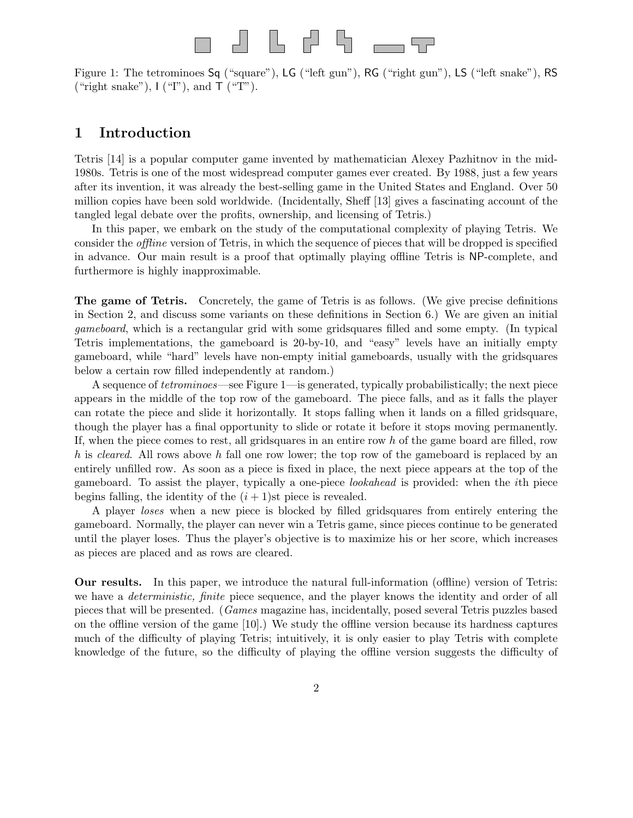# ┚┖┢╏╶╼

Figure 1: The tetrominoes Sq ("square"), LG ("left gun"), RG ("right gun"), LS ("left snake"), RS ("right snake"),  $I$  ("I"), and  $\mathsf{T}$  ("T").

## 1 Introduction

Tetris [14] is a popular computer game invented by mathematician Alexey Pazhitnov in the mid-1980s. Tetris is one of the most widespread computer games ever created. By 1988, just a few years after its invention, it was already the best-selling game in the United States and England. Over 50 million copies have been sold worldwide. (Incidentally, Sheff [13] gives a fascinating account of the tangled legal debate over the profits, ownership, and licensing of Tetris.)

In this paper, we embark on the study of the computational complexity of playing Tetris. We consider the offline version of Tetris, in which the sequence of pieces that will be dropped is specified in advance. Our main result is a proof that optimally playing offline Tetris is NP-complete, and furthermore is highly inapproximable.

The game of Tetris. Concretely, the game of Tetris is as follows. (We give precise definitions in Section 2, and discuss some variants on these definitions in Section 6.) We are given an initial gameboard, which is a rectangular grid with some gridsquares filled and some empty. (In typical Tetris implementations, the gameboard is 20-by-10, and "easy" levels have an initially empty gameboard, while "hard" levels have non-empty initial gameboards, usually with the gridsquares below a certain row filled independently at random.)

A sequence of tetrominoes—see Figure 1—is generated, typically probabilistically; the next piece appears in the middle of the top row of the gameboard. The piece falls, and as it falls the player can rotate the piece and slide it horizontally. It stops falling when it lands on a filled gridsquare, though the player has a final opportunity to slide or rotate it before it stops moving permanently. If, when the piece comes to rest, all gridsquares in an entire row  $h$  of the game board are filled, row h is cleared. All rows above h fall one row lower; the top row of the gameboard is replaced by an entirely unfilled row. As soon as a piece is fixed in place, the next piece appears at the top of the gameboard. To assist the player, typically a one-piece lookahead is provided: when the ith piece begins falling, the identity of the  $(i + 1)$ st piece is revealed.

A player loses when a new piece is blocked by filled gridsquares from entirely entering the gameboard. Normally, the player can never win a Tetris game, since pieces continue to be generated until the player loses. Thus the player's objective is to maximize his or her score, which increases as pieces are placed and as rows are cleared.

Our results. In this paper, we introduce the natural full-information (offline) version of Tetris: we have a *deterministic, finite* piece sequence, and the player knows the identity and order of all pieces that will be presented. (Games magazine has, incidentally, posed several Tetris puzzles based on the offline version of the game [10].) We study the offline version because its hardness captures much of the difficulty of playing Tetris; intuitively, it is only easier to play Tetris with complete knowledge of the future, so the difficulty of playing the offline version suggests the difficulty of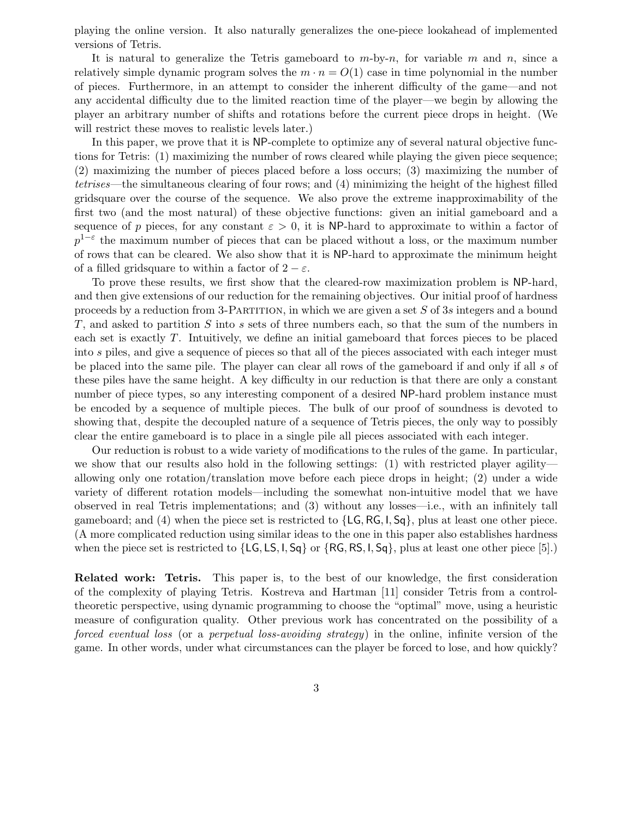playing the online version. It also naturally generalizes the one-piece lookahead of implemented versions of Tetris.

It is natural to generalize the Tetris gameboard to  $m$ -by-n, for variable m and n, since a relatively simple dynamic program solves the  $m \cdot n = O(1)$  case in time polynomial in the number of pieces. Furthermore, in an attempt to consider the inherent difficulty of the game—and not any accidental difficulty due to the limited reaction time of the player—we begin by allowing the player an arbitrary number of shifts and rotations before the current piece drops in height. (We will restrict these moves to realistic levels later.)

In this paper, we prove that it is NP-complete to optimize any of several natural objective functions for Tetris: (1) maximizing the number of rows cleared while playing the given piece sequence; (2) maximizing the number of pieces placed before a loss occurs; (3) maximizing the number of tetrises—the simultaneous clearing of four rows; and (4) minimizing the height of the highest filled gridsquare over the course of the sequence. We also prove the extreme inapproximability of the first two (and the most natural) of these objective functions: given an initial gameboard and a sequence of p pieces, for any constant  $\varepsilon > 0$ , it is NP-hard to approximate to within a factor of  $p^{1-\varepsilon}$  the maximum number of pieces that can be placed without a loss, or the maximum number of rows that can be cleared. We also show that it is NP-hard to approximate the minimum height of a filled gridsquare to within a factor of  $2 - \varepsilon$ .

To prove these results, we first show that the cleared-row maximization problem is NP-hard, and then give extensions of our reduction for the remaining objectives. Our initial proof of hardness proceeds by a reduction from 3-PARTITION, in which we are given a set  $S$  of 3s integers and a bound T, and asked to partition S into s sets of three numbers each, so that the sum of the numbers in each set is exactly T. Intuitively, we define an initial gameboard that forces pieces to be placed into s piles, and give a sequence of pieces so that all of the pieces associated with each integer must be placed into the same pile. The player can clear all rows of the gameboard if and only if all s of these piles have the same height. A key difficulty in our reduction is that there are only a constant number of piece types, so any interesting component of a desired NP-hard problem instance must be encoded by a sequence of multiple pieces. The bulk of our proof of soundness is devoted to showing that, despite the decoupled nature of a sequence of Tetris pieces, the only way to possibly clear the entire gameboard is to place in a single pile all pieces associated with each integer.

Our reduction is robust to a wide variety of modifications to the rules of the game. In particular, we show that our results also hold in the following settings: (1) with restricted player agility allowing only one rotation/translation move before each piece drops in height; (2) under a wide variety of different rotation models—including the somewhat non-intuitive model that we have observed in real Tetris implementations; and (3) without any losses—i.e., with an infinitely tall gameboard; and (4) when the piece set is restricted to {LG, RG, I, Sq}, plus at least one other piece. (A more complicated reduction using similar ideas to the one in this paper also establishes hardness when the piece set is restricted to  $\{LG, LS, I, Sq\}$  or  $\{RG, RS, I, Sq\}$ , plus at least one other piece [5].)

Related work: Tetris. This paper is, to the best of our knowledge, the first consideration of the complexity of playing Tetris. Kostreva and Hartman [11] consider Tetris from a controltheoretic perspective, using dynamic programming to choose the "optimal" move, using a heuristic measure of configuration quality. Other previous work has concentrated on the possibility of a forced eventual loss (or a perpetual loss-avoiding strategy) in the online, infinite version of the game. In other words, under what circumstances can the player be forced to lose, and how quickly?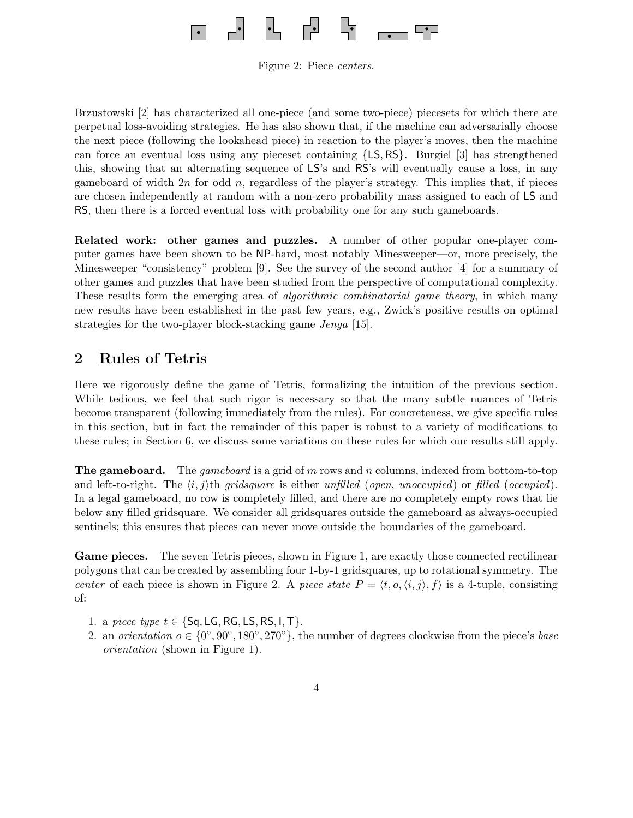

Figure 2: Piece centers.

Brzustowski [2] has characterized all one-piece (and some two-piece) piecesets for which there are perpetual loss-avoiding strategies. He has also shown that, if the machine can adversarially choose the next piece (following the lookahead piece) in reaction to the player's moves, then the machine can force an eventual loss using any pieceset containing {LS, RS}. Burgiel [3] has strengthened this, showing that an alternating sequence of LS's and RS's will eventually cause a loss, in any gameboard of width  $2n$  for odd n, regardless of the player's strategy. This implies that, if pieces are chosen independently at random with a non-zero probability mass assigned to each of LS and RS, then there is a forced eventual loss with probability one for any such gameboards.

Related work: other games and puzzles. A number of other popular one-player computer games have been shown to be NP-hard, most notably Minesweeper—or, more precisely, the Minesweeper "consistency" problem [9]. See the survey of the second author [4] for a summary of other games and puzzles that have been studied from the perspective of computational complexity. These results form the emerging area of *algorithmic combinatorial game theory*, in which many new results have been established in the past few years, e.g., Zwick's positive results on optimal strategies for the two-player block-stacking game Jenga [15].

## 2 Rules of Tetris

Here we rigorously define the game of Tetris, formalizing the intuition of the previous section. While tedious, we feel that such rigor is necessary so that the many subtle nuances of Tetris become transparent (following immediately from the rules). For concreteness, we give specific rules in this section, but in fact the remainder of this paper is robust to a variety of modifications to these rules; in Section 6, we discuss some variations on these rules for which our results still apply.

**The gameboard.** The gameboard is a grid of m rows and n columns, indexed from bottom-to-top and left-to-right. The  $\langle i, j \rangle$ th gridsquare is either unfilled (open, unoccupied) or filled (occupied). In a legal gameboard, no row is completely filled, and there are no completely empty rows that lie below any filled gridsquare. We consider all gridsquares outside the gameboard as always-occupied sentinels; this ensures that pieces can never move outside the boundaries of the gameboard.

Game pieces. The seven Tetris pieces, shown in Figure 1, are exactly those connected rectilinear polygons that can be created by assembling four 1-by-1 gridsquares, up to rotational symmetry. The center of each piece is shown in Figure 2. A piece state  $P = \langle t, o, \langle i, j \rangle, f \rangle$  is a 4-tuple, consisting of:

- 1. a piece type  $t \in \{\text{Sq}, \text{LG}, \text{RG}, \text{LS}, \text{RS}, \text{I}, \text{T}\}.$
- 2. an *orientation*  $o \in \{0^\circ, 90^\circ, 180^\circ, 270^\circ\}$ , the number of degrees clockwise from the piece's base orientation (shown in Figure 1).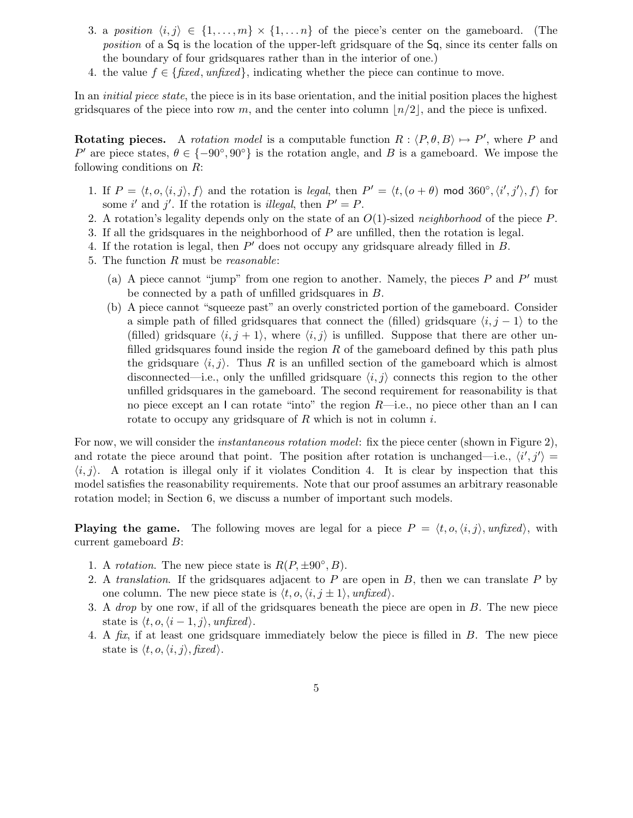- 3. a position  $\langle i, j \rangle \in \{1, ..., m\} \times \{1, ..., n\}$  of the piece's center on the gameboard. (The position of a Sq is the location of the upper-left gridsquare of the Sq, since its center falls on the boundary of four gridsquares rather than in the interior of one.)
- 4. the value  $f \in \{\text{fixed}, \text{unfixed}\},$  indicating whether the piece can continue to move.

In an *initial piece state*, the piece is in its base orientation, and the initial position places the highest gridsquares of the piece into row m, and the center into column  $\lfloor n/2 \rfloor$ , and the piece is unfixed.

**Rotating pieces.** A rotation model is a computable function  $R : \langle P, \theta, B \rangle \mapsto P'$ , where P and P' are piece states,  $\theta \in \{-90^\circ, 90^\circ\}$  is the rotation angle, and B is a gameboard. We impose the following conditions on R:

- 1. If  $P = \langle t, o, \langle i, j \rangle, f \rangle$  and the rotation is legal, then  $P' = \langle t, (o + \theta) \mod 360^\circ, \langle i', j' \rangle, f \rangle$  for some i' and j'. If the rotation is *illegal*, then  $P' = P$ .
- 2. A rotation's legality depends only on the state of an  $O(1)$ -sized neighborhood of the piece P.
- 3. If all the gridsquares in the neighborhood of P are unfilled, then the rotation is legal.
- 4. If the rotation is legal, then  $P'$  does not occupy any gridsquare already filled in  $B$ .
- 5. The function R must be reasonable:
	- (a) A piece cannot "jump" from one region to another. Namely, the pieces  $P$  and  $P'$  must be connected by a path of unfilled gridsquares in B.
	- (b) A piece cannot "squeeze past" an overly constricted portion of the gameboard. Consider a simple path of filled gridsquares that connect the (filled) gridsquare  $\langle i, j - 1 \rangle$  to the (filled) gridsquare  $\langle i, j + 1 \rangle$ , where  $\langle i, j \rangle$  is unfilled. Suppose that there are other unfilled gridsquares found inside the region  $R$  of the gameboard defined by this path plus the gridsquare  $\langle i, j \rangle$ . Thus R is an unfilled section of the gameboard which is almost disconnected—i.e., only the unfilled gridsquare  $\langle i, j \rangle$  connects this region to the other unfilled gridsquares in the gameboard. The second requirement for reasonability is that no piece except an  $\mathsf{l}$  can rotate "into" the region  $R$ —i.e., no piece other than an  $\mathsf{l}$  can rotate to occupy any gridsquare of  $R$  which is not in column  $i$ .

For now, we will consider the *instantaneous rotation model*: fix the piece center (shown in Figure 2), and rotate the piece around that point. The position after rotation is unchanged—i.e.,  $\langle i', j' \rangle =$  $\langle i, j \rangle$ . A rotation is illegal only if it violates Condition 4. It is clear by inspection that this model satisfies the reasonability requirements. Note that our proof assumes an arbitrary reasonable rotation model; in Section 6, we discuss a number of important such models.

**Playing the game.** The following moves are legal for a piece  $P = \langle t, o, \langle i, j \rangle$ , unfixed, with current gameboard B:

- 1. A rotation. The new piece state is  $R(P, \pm 90^{\circ}, B)$ .
- 2. A translation. If the gridsquares adjacent to  $P$  are open in  $B$ , then we can translate  $P$  by one column. The new piece state is  $\langle t, o, \langle i, j \pm 1 \rangle$ , unfixed.
- 3. A drop by one row, if all of the gridsquares beneath the piece are open in B. The new piece state is  $\langle t, o, \langle i - 1, j \rangle$ , unfixed).
- 4. A fix, if at least one gridsquare immediately below the piece is filled in B. The new piece state is  $\langle t, o, \langle i, j \rangle$ , fixed).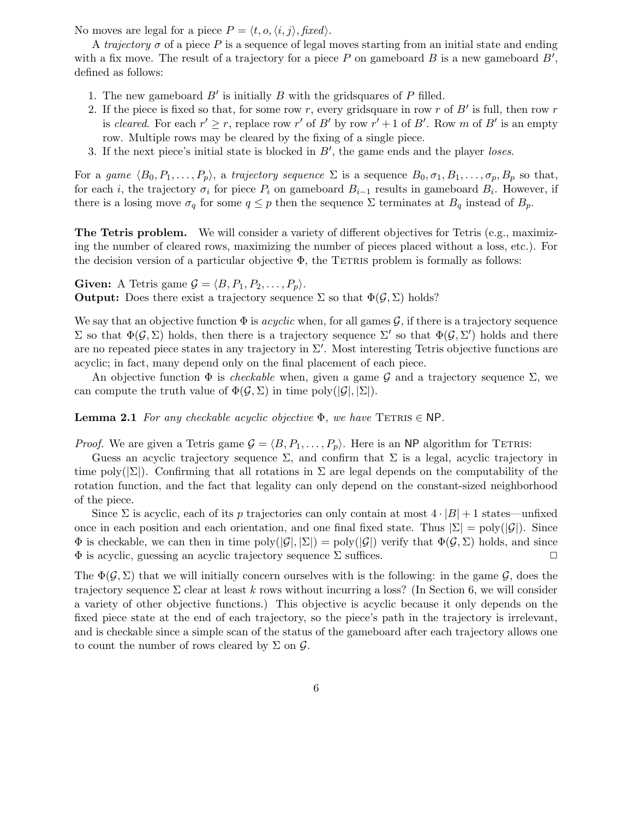No moves are legal for a piece  $P = \langle t, o, \langle i, j \rangle, \text{fixed} \rangle$ .

A trajectory  $\sigma$  of a piece P is a sequence of legal moves starting from an initial state and ending with a fix move. The result of a trajectory for a piece  $P$  on gameboard  $B$  is a new gameboard  $B'$ , defined as follows:

- 1. The new gameboard  $B'$  is initially  $B$  with the gridsquares of  $P$  filled.
- 2. If the piece is fixed so that, for some row r, every gridsquare in row r of  $B'$  is full, then row r is cleared. For each  $r' \geq r$ , replace row r' of B' by row  $r' + 1$  of B'. Row m of B' is an empty row. Multiple rows may be cleared by the fixing of a single piece.
- 3. If the next piece's initial state is blocked in  $B'$ , the game ends and the player loses.

For a game  $\langle B_0, P_1, \ldots, P_p \rangle$ , a trajectory sequence  $\Sigma$  is a sequence  $B_0, \sigma_1, B_1, \ldots, \sigma_p, B_p$  so that, for each *i*, the trajectory  $\sigma_i$  for piece  $P_i$  on gameboard  $B_{i-1}$  results in gameboard  $B_i$ . However, if there is a losing move  $\sigma_q$  for some  $q \leq p$  then the sequence  $\Sigma$  terminates at  $B_q$  instead of  $B_p$ .

The Tetris problem. We will consider a variety of different objectives for Tetris (e.g., maximizing the number of cleared rows, maximizing the number of pieces placed without a loss, etc.). For the decision version of a particular objective  $\Phi$ , the TETRIS problem is formally as follows:

Given: A Tetris game  $\mathcal{G} = \langle B, P_1, P_2, \ldots, P_p \rangle$ . **Output:** Does there exist a trajectory sequence  $\Sigma$  so that  $\Phi(\mathcal{G}, \Sigma)$  holds?

We say that an objective function  $\Phi$  is *acyclic* when, for all games  $\mathcal{G}$ , if there is a trajectory sequence Σ so that  $\Phi(G, \Sigma)$  holds, then there is a trajectory sequence  $\Sigma'$  so that  $\Phi(G, \Sigma')$  holds and there are no repeated piece states in any trajectory in  $\Sigma'$ . Most interesting Tetris objective functions are acyclic; in fact, many depend only on the final placement of each piece.

An objective function  $\Phi$  is *checkable* when, given a game G and a trajectory sequence  $\Sigma$ , we can compute the truth value of  $\Phi(\mathcal{G}, \Sigma)$  in time poly $(|\mathcal{G}|, |\Sigma|)$ .

**Lemma 2.1** For any checkable acyclic objective  $\Phi$ , we have TETRIS  $\in$  NP.

*Proof.* We are given a Tetris game  $\mathcal{G} = \langle B, P_1, \ldots, P_p \rangle$ . Here is an NP algorithm for TETRIS:

Guess an acyclic trajectory sequence  $\Sigma$ , and confirm that  $\Sigma$  is a legal, acyclic trajectory in time poly( $|\Sigma|$ ). Confirming that all rotations in  $\Sigma$  are legal depends on the computability of the rotation function, and the fact that legality can only depend on the constant-sized neighborhood of the piece.

Since  $\Sigma$  is acyclic, each of its p trajectories can only contain at most  $4 \cdot |B| + 1$  states—unfixed once in each position and each orientation, and one final fixed state. Thus  $|\Sigma| = \text{poly}(|\mathcal{G}|)$ . Since  $\Phi$  is checkable, we can then in time poly $(|\mathcal{G}|, |\Sigma|)$  = poly $(|\mathcal{G}|)$  verify that  $\Phi(\mathcal{G}, \Sigma)$  holds, and since  $\Phi$  is acyclic, guessing an acyclic trajectory sequence  $\Sigma$  suffices.

The  $\Phi(\mathcal{G}, \Sigma)$  that we will initially concern ourselves with is the following: in the game  $\mathcal{G}$ , does the trajectory sequence  $\Sigma$  clear at least k rows without incurring a loss? (In Section 6, we will consider a variety of other objective functions.) This objective is acyclic because it only depends on the fixed piece state at the end of each trajectory, so the piece's path in the trajectory is irrelevant, and is checkable since a simple scan of the status of the gameboard after each trajectory allows one to count the number of rows cleared by  $\Sigma$  on  $\mathcal{G}$ .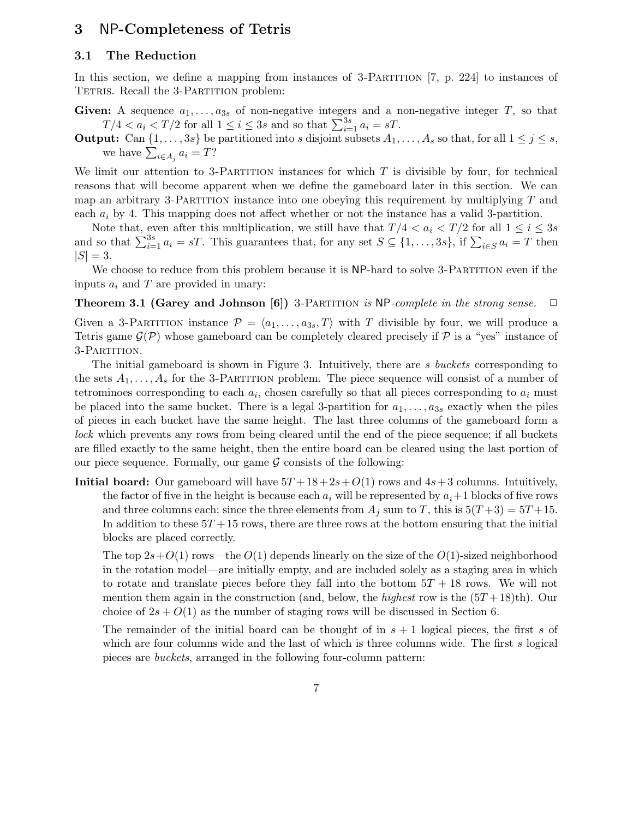## 3 NP-Completeness of Tetris

#### 3.1 The Reduction

In this section, we define a mapping from instances of 3-PARTITION [7, p. 224] to instances of TETRIS. Recall the 3-PARTITION problem:

- Given: A sequence  $a_1, \ldots, a_{3s}$  of non-negative integers and a non-negative integer T, so that  $T/4 < a_i < T/2$  for all  $1 \leq i \leq 3s$  and so that  $\sum_{i=1}^{3s} a_i = sT$ .
- **Output:** Can  $\{1, \ldots, 3s\}$  be partitioned into s disjoint subsets  $A_1, \ldots, A_s$  so that, for all  $1 \leq j \leq s$ , we have  $\sum_{i\in A_j} a_i = T$ ?

We limit our attention to 3-PARTITION instances for which  $T$  is divisible by four, for technical reasons that will become apparent when we define the gameboard later in this section. We can map an arbitrary 3-PARTITION instance into one obeying this requirement by multiplying  $T$  and each  $a_i$  by 4. This mapping does not affect whether or not the instance has a valid 3-partition.

Note that, even after this multiplication, we still have that  $T/4 < a_i < T/2$  for all  $1 \le i \le 3s$ and so that  $\sum_{i=1}^{3s} a_i = sT$ . This guarantees that, for any set  $S \subseteq \{1, \ldots, 3s\}$ , if  $\sum_{i \in S} a_i = T$  then  $|S| = 3.$ 

We choose to reduce from this problem because it is NP-hard to solve 3-PARTITION even if the inputs  $a_i$  and T are provided in unary:

**Theorem 3.1 (Garey and Johnson [6])** 3-PARTITION is NP-complete in the strong sense.  $\Box$ 

Given a 3-PARTITION instance  $\mathcal{P} = \langle a_1, \ldots, a_{3s}, T \rangle$  with T divisible by four, we will produce a Tetris game  $\mathcal{G}(\mathcal{P})$  whose gameboard can be completely cleared precisely if  $\mathcal{P}$  is a "yes" instance of 3-Partition.

The initial gameboard is shown in Figure 3. Intuitively, there are s buckets corresponding to the sets  $A_1, \ldots, A_s$  for the 3-PARTITION problem. The piece sequence will consist of a number of tetrominoes corresponding to each  $a_i$ , chosen carefully so that all pieces corresponding to  $a_i$  must be placed into the same bucket. There is a legal 3-partition for  $a_1, \ldots, a_{3s}$  exactly when the piles of pieces in each bucket have the same height. The last three columns of the gameboard form a lock which prevents any rows from being cleared until the end of the piece sequence; if all buckets are filled exactly to the same height, then the entire board can be cleared using the last portion of our piece sequence. Formally, our game  $G$  consists of the following:

**Initial board:** Our gameboard will have  $5T + 18 + 2s + O(1)$  rows and  $4s + 3$  columns. Intuitively, the factor of five in the height is because each  $a_i$  will be represented by  $a_i+1$  blocks of five rows and three columns each; since the three elements from  $A_j$  sum to T, this is  $5(T+3) = 5T+15$ . In addition to these  $5T + 15$  rows, there are three rows at the bottom ensuring that the initial blocks are placed correctly.

The top  $2s+O(1)$  rows—the  $O(1)$  depends linearly on the size of the  $O(1)$ -sized neighborhood in the rotation model—are initially empty, and are included solely as a staging area in which to rotate and translate pieces before they fall into the bottom  $5T + 18$  rows. We will not mention them again in the construction (and, below, the *highest* row is the  $(5T+18)$ th). Our choice of  $2s + O(1)$  as the number of staging rows will be discussed in Section 6.

The remainder of the initial board can be thought of in  $s + 1$  logical pieces, the first s of which are four columns wide and the last of which is three columns wide. The first  $s$  logical pieces are buckets, arranged in the following four-column pattern: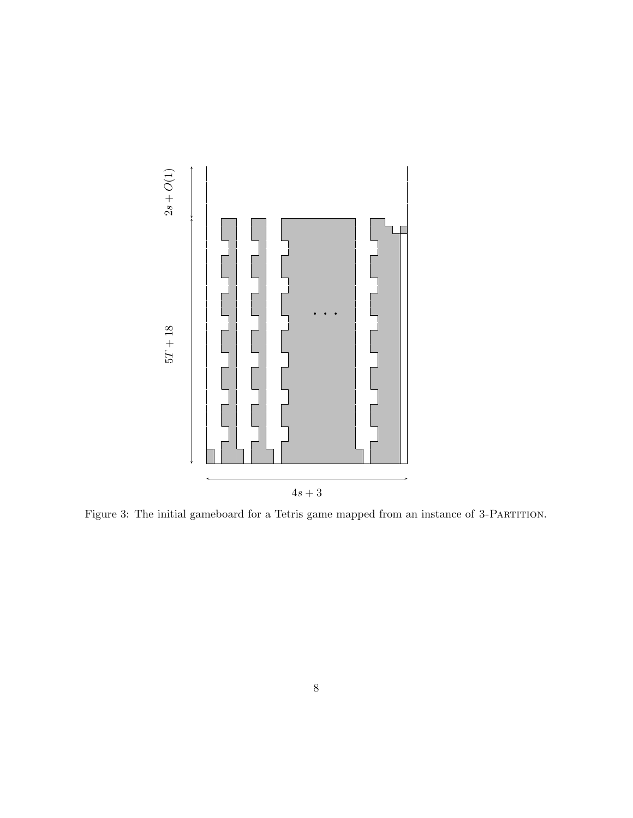

Figure 3: The initial gameboard for a Tetris game mapped from an instance of 3-Partition.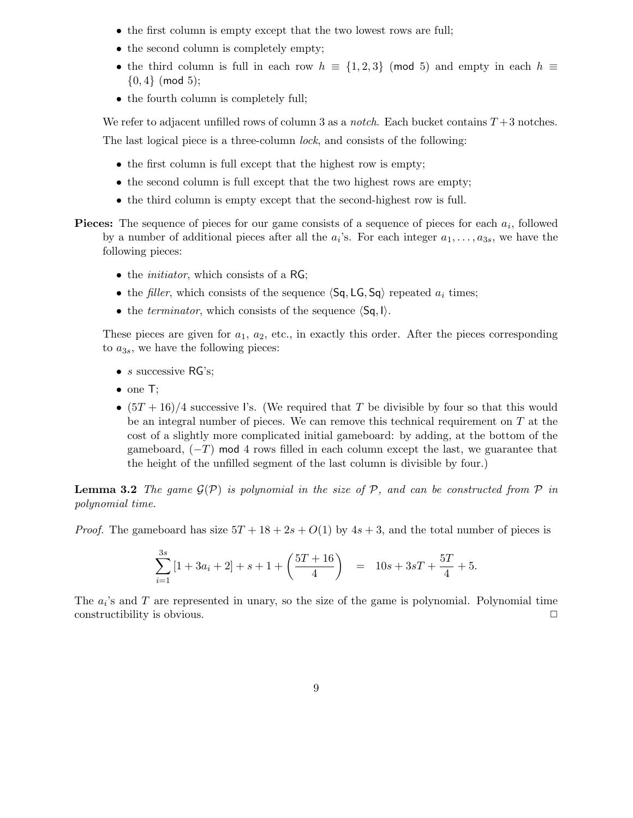- the first column is empty except that the two lowest rows are full;
- the second column is completely empty;
- the third column is full in each row  $h \equiv \{1, 2, 3\}$  (mod 5) and empty in each  $h \equiv$  $\{0,4\}$  (mod 5);
- the fourth column is completely full;

We refer to adjacent unfilled rows of column 3 as a *notch*. Each bucket contains  $T+3$  notches. The last logical piece is a three-column lock, and consists of the following:

- the first column is full except that the highest row is empty;
- the second column is full except that the two highest rows are empty;
- the third column is empty except that the second-highest row is full.
- **Pieces:** The sequence of pieces for our game consists of a sequence of pieces for each  $a_i$ , followed by a number of additional pieces after all the  $a_i$ 's. For each integer  $a_1, \ldots, a_{3s}$ , we have the following pieces:
	- the *initiator*, which consists of a RG;
	- the filler, which consists of the sequence  $\langle Sq, LG, Sq \rangle$  repeated  $a_i$  times;
	- the *terminator*, which consists of the sequence  $\langle Sq, I \rangle$ .

These pieces are given for  $a_1, a_2$ , etc., in exactly this order. After the pieces corresponding to  $a_{3s}$ , we have the following pieces:

- $s$  successive RG's;
- one T:
- $(5T+16)/4$  successive I's. (We required that T be divisible by four so that this would be an integral number of pieces. We can remove this technical requirement on  $T$  at the cost of a slightly more complicated initial gameboard: by adding, at the bottom of the gameboard,  $(-T)$  mod 4 rows filled in each column except the last, we guarantee that the height of the unfilled segment of the last column is divisible by four.)

**Lemma 3.2** The game  $\mathcal{G}(\mathcal{P})$  is polynomial in the size of P, and can be constructed from P in polynomial time.

*Proof.* The gameboard has size  $5T + 18 + 2s + O(1)$  by  $4s + 3$ , and the total number of pieces is

$$
\sum_{i=1}^{3s} \left[ 1 + 3a_i + 2 \right] + s + 1 + \left( \frac{5T + 16}{4} \right) = 10s + 3sT + \frac{5T}{4} + 5.
$$

The  $a_i$ 's and T are represented in unary, so the size of the game is polynomial. Polynomial time constructibility is obvious.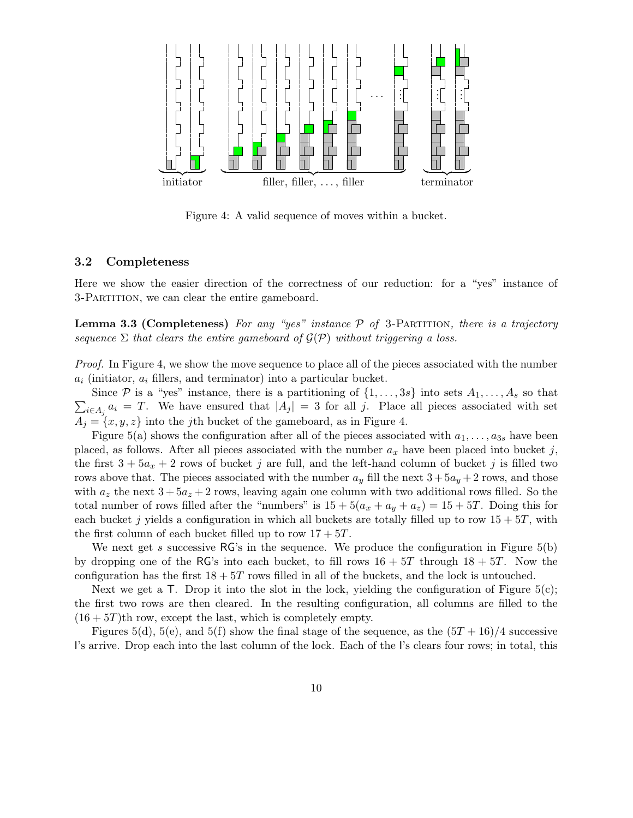

Figure 4: A valid sequence of moves within a bucket.

#### 3.2 Completeness

Here we show the easier direction of the correctness of our reduction: for a "yes" instance of 3-Partition, we can clear the entire gameboard.

**Lemma 3.3 (Completeness)** For any "yes" instance  $\mathcal{P}$  of 3-PARTITION, there is a trajectory sequence  $\Sigma$  that clears the entire gameboard of  $\mathcal{G}(\mathcal{P})$  without triggering a loss.

Proof. In Figure 4, we show the move sequence to place all of the pieces associated with the number  $a_i$  (initiator,  $a_i$  fillers, and terminator) into a particular bucket.

 $\sum_{i\in A_j} a_i = T$ . We have ensured that  $|A_j| = 3$  for all j. Place all pieces associated with set Since P is a "yes" instance, there is a partitioning of  $\{1, \ldots, 3s\}$  into sets  $A_1, \ldots, A_s$  so that  $A_i = \{x, y, z\}$  into the jth bucket of the gameboard, as in Figure 4.

Figure 5(a) shows the configuration after all of the pieces associated with  $a_1, \ldots, a_{3s}$  have been placed, as follows. After all pieces associated with the number  $a_x$  have been placed into bucket j, the first  $3 + 5a_x + 2$  rows of bucket j are full, and the left-hand column of bucket j is filled two rows above that. The pieces associated with the number  $a_y$  fill the next  $3+5a_y+2$  rows, and those with  $a_z$  the next  $3 + 5a_z + 2$  rows, leaving again one column with two additional rows filled. So the total number of rows filled after the "numbers" is  $15 + 5(a_x + a_y + a_z) = 15 + 5T$ . Doing this for each bucket j yields a configuration in which all buckets are totally filled up to row  $15 + 5T$ , with the first column of each bucket filled up to row  $17 + 5T$ .

We next get s successive  $RG$ 's in the sequence. We produce the configuration in Figure  $5(b)$ by dropping one of the RG's into each bucket, to fill rows  $16 + 5T$  through  $18 + 5T$ . Now the configuration has the first  $18 + 5T$  rows filled in all of the buckets, and the lock is untouched.

Next we get a  $\mathsf T$ . Drop it into the slot in the lock, yielding the configuration of Figure 5(c); the first two rows are then cleared. In the resulting configuration, all columns are filled to the  $(16+5T)$ th row, except the last, which is completely empty.

Figures 5(d), 5(e), and 5(f) show the final stage of the sequence, as the  $(5T+16)/4$  successive I's arrive. Drop each into the last column of the lock. Each of the I's clears four rows; in total, this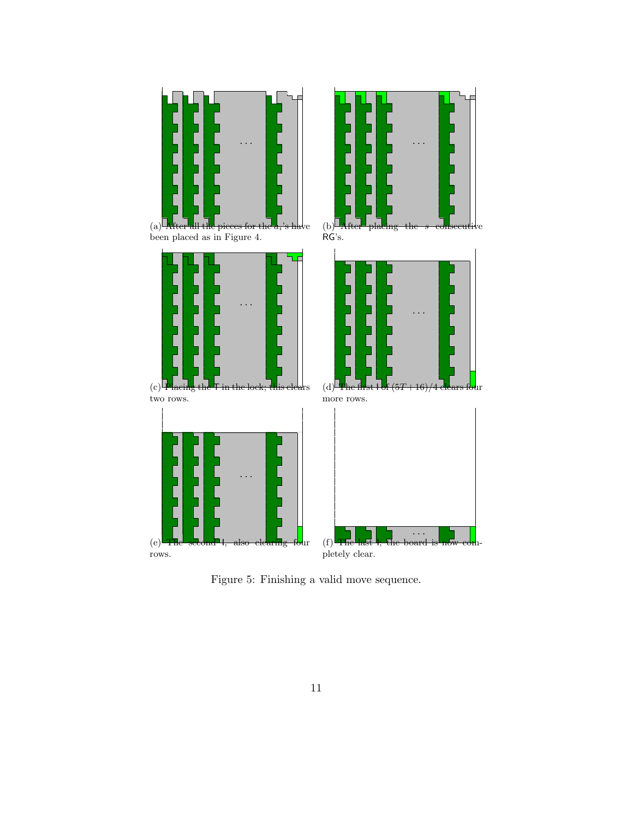

Figure 5: Finishing a valid move sequence.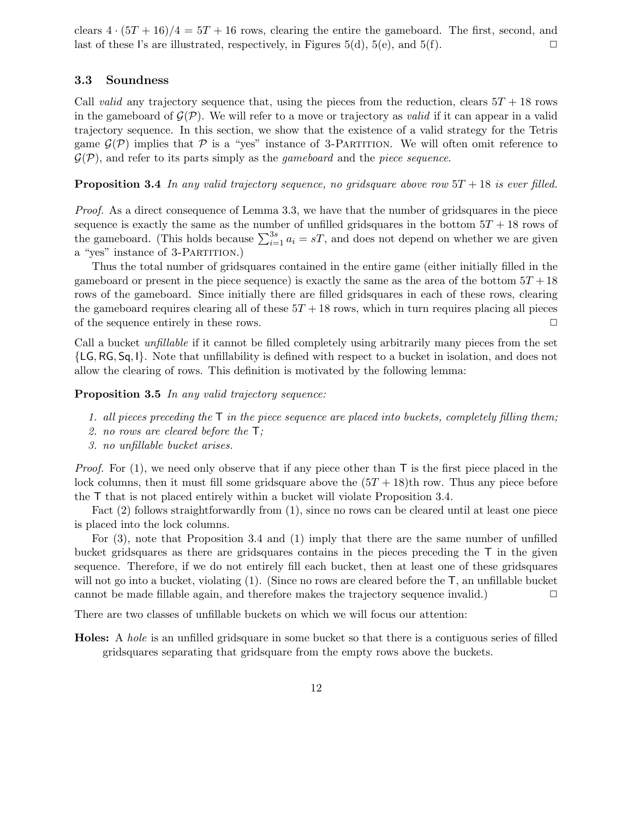clears  $4 \cdot (5T + 16)/4 = 5T + 16$  rows, clearing the entire the gameboard. The first, second, and last of these I's are illustrated, respectively, in Figures 5(d), 5(e), and 5(f).  $\square$ 

#### 3.3 Soundness

Call valid any trajectory sequence that, using the pieces from the reduction, clears  $5T + 18$  rows in the gameboard of  $\mathcal{G}(\mathcal{P})$ . We will refer to a move or trajectory as *valid* if it can appear in a valid trajectory sequence. In this section, we show that the existence of a valid strategy for the Tetris game  $\mathcal{G}(\mathcal{P})$  implies that  $\mathcal P$  is a "yes" instance of 3-PARTITION. We will often omit reference to  $\mathcal{G}(\mathcal{P})$ , and refer to its parts simply as the *gameboard* and the *piece sequence*.

**Proposition 3.4** In any valid trajectory sequence, no gridsquare above row  $5T + 18$  is ever filled.

Proof. As a direct consequence of Lemma 3.3, we have that the number of gridsquares in the piece sequence is exactly the same as the number of unfilled gridsquares in the bottom  $5T + 18$  rows of the gameboard. (This holds because  $\sum_{i=1}^{3s} a_i = sT$ , and does not depend on whether we are given a "yes" instance of 3-PARTITION.)

Thus the total number of gridsquares contained in the entire game (either initially filled in the gameboard or present in the piece sequence) is exactly the same as the area of the bottom  $5T + 18$ rows of the gameboard. Since initially there are filled gridsquares in each of these rows, clearing the gameboard requires clearing all of these  $5T + 18$  rows, which in turn requires placing all pieces of the sequence entirely in these rows.  $\Box$ 

Call a bucket unfillable if it cannot be filled completely using arbitrarily many pieces from the set {LG, RG, Sq, I}. Note that unfillability is defined with respect to a bucket in isolation, and does not allow the clearing of rows. This definition is motivated by the following lemma:

Proposition 3.5 In any valid trajectory sequence:

- 1. all pieces preceding the  $\mathsf T$  in the piece sequence are placed into buckets, completely filling them;
- 2. no rows are cleared before the T;
- 3. no unfillable bucket arises.

*Proof.* For (1), we need only observe that if any piece other than  $\mathsf{T}$  is the first piece placed in the lock columns, then it must fill some gridsquare above the  $(5T + 18)$ th row. Thus any piece before the T that is not placed entirely within a bucket will violate Proposition 3.4.

Fact (2) follows straightforwardly from (1), since no rows can be cleared until at least one piece is placed into the lock columns.

For (3), note that Proposition 3.4 and (1) imply that there are the same number of unfilled bucket gridsquares as there are gridsquares contains in the pieces preceding the T in the given sequence. Therefore, if we do not entirely fill each bucket, then at least one of these gridsquares will not go into a bucket, violating (1). (Since no rows are cleared before the  $\mathsf{T}$ , an unfillable bucket cannot be made fillable again, and therefore makes the trajectory sequence invalid.)  $\Box$ 

There are two classes of unfillable buckets on which we will focus our attention:

Holes: A hole is an unfilled gridsquare in some bucket so that there is a contiguous series of filled gridsquares separating that gridsquare from the empty rows above the buckets.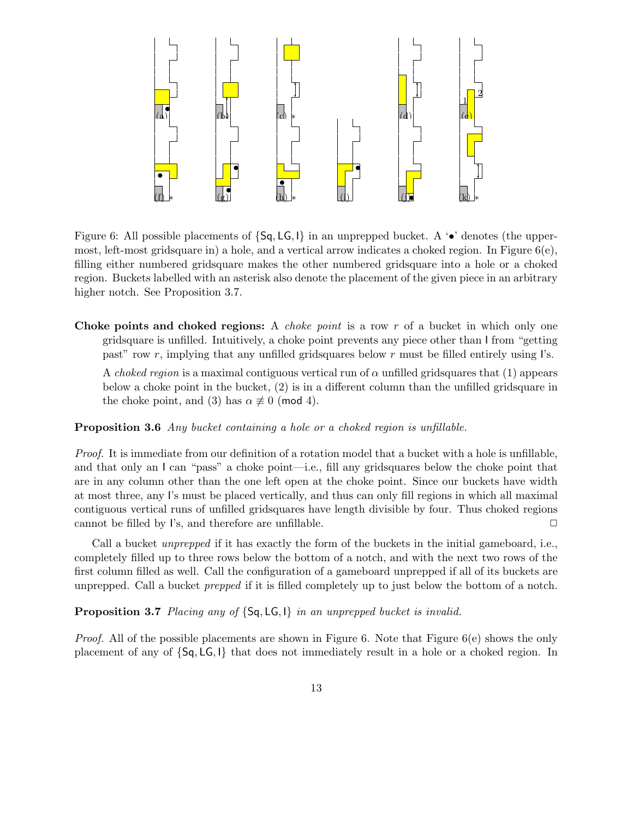

Figure 6: All possible placements of  $\{Sq, LG, I\}$  in an unprepped bucket. A '•' denotes (the uppermost, left-most gridsquare in) a hole, and a vertical arrow indicates a choked region. In Figure  $6(e)$ , filling either numbered gridsquare makes the other numbered gridsquare into a hole or a choked region. Buckets labelled with an asterisk also denote the placement of the given piece in an arbitrary higher notch. See Proposition 3.7.

Choke points and choked regions: A *choke point* is a row r of a bucket in which only one gridsquare is unfilled. Intuitively, a choke point prevents any piece other than I from "getting past" row r, implying that any unfilled gridsquares below r must be filled entirely using  $\Gamma$ s.

A choked region is a maximal contiguous vertical run of  $\alpha$  unfilled gridsquares that (1) appears below a choke point in the bucket, (2) is in a different column than the unfilled gridsquare in the choke point, and (3) has  $\alpha \not\equiv 0$  (mod 4).

Proposition 3.6 Any bucket containing a hole or a choked region is unfillable.

Proof. It is immediate from our definition of a rotation model that a bucket with a hole is unfillable, and that only an I can "pass" a choke point—i.e., fill any gridsquares below the choke point that are in any column other than the one left open at the choke point. Since our buckets have width at most three, any I's must be placed vertically, and thus can only fill regions in which all maximal contiguous vertical runs of unfilled gridsquares have length divisible by four. Thus choked regions cannot be filled by I's, and therefore are unfillable.  $\Box$ 

Call a bucket unprepped if it has exactly the form of the buckets in the initial gameboard, i.e., completely filled up to three rows below the bottom of a notch, and with the next two rows of the first column filled as well. Call the configuration of a gameboard unprepped if all of its buckets are unprepped. Call a bucket prepped if it is filled completely up to just below the bottom of a notch.

Proposition 3.7 Placing any of  $\{Sq, LG, I\}$  in an unprepped bucket is invalid.

*Proof.* All of the possible placements are shown in Figure 6. Note that Figure  $6(e)$  shows the only placement of any of {Sq, LG, I} that does not immediately result in a hole or a choked region. In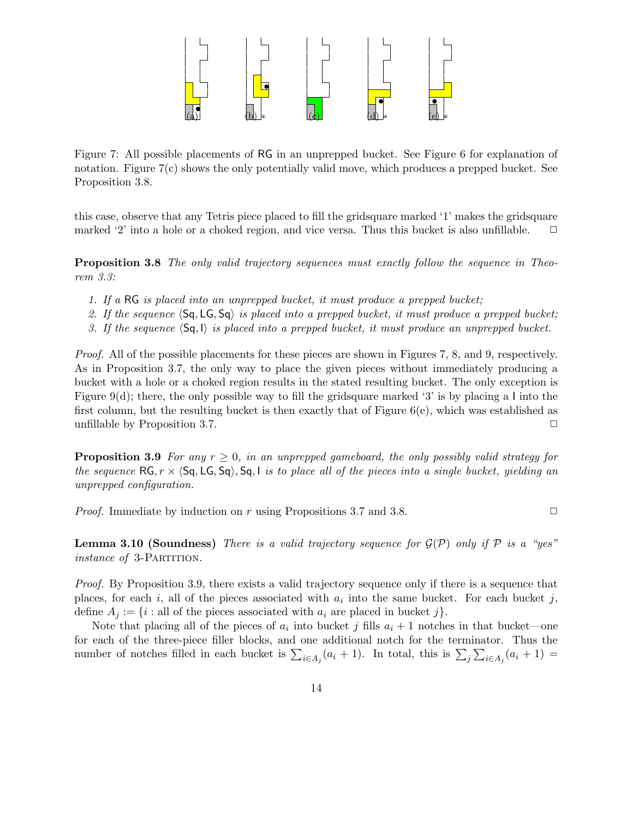

Figure 7: All possible placements of RG in an unprepped bucket. See Figure 6 for explanation of notation. Figure 7(c) shows the only potentially valid move, which produces a prepped bucket. See Proposition 3.8.

this case, observe that any Tetris piece placed to fill the gridsquare marked '1' makes the gridsquare marked '2' into a hole or a choked region, and vice versa. Thus this bucket is also unfillable.  $\Box$ 

**Proposition 3.8** The only valid trajectory sequences must exactly follow the sequence in Theorem 3.3:

- 1. If a RG is placed into an unprepped bucket, it must produce a prepped bucket;
- 2. If the sequence  $\langle Sq, LG, Sq \rangle$  is placed into a prepped bucket, it must produce a prepped bucket;
- 3. If the sequence  $\langle Sq, I \rangle$  is placed into a prepped bucket, it must produce an unprepped bucket.

Proof. All of the possible placements for these pieces are shown in Figures 7, 8, and 9, respectively. As in Proposition 3.7, the only way to place the given pieces without immediately producing a bucket with a hole or a choked region results in the stated resulting bucket. The only exception is Figure 9(d); there, the only possible way to fill the gridsquare marked '3' is by placing a I into the first column, but the resulting bucket is then exactly that of Figure 6(e), which was established as unfillable by Proposition 3.7.  $\Box$ 

**Proposition 3.9** For any  $r \geq 0$ , in an unprepped gameboard, the only possibly valid strategy for the sequence  $RG, r \times \langle Sq, LG, Sq \rangle$ ,  $Sq, I$  is to place all of the pieces into a single bucket, yielding an unprepped configuration.

*Proof.* Immediate by induction on r using Propositions 3.7 and 3.8.  $\Box$ 

**Lemma 3.10 (Soundness)** There is a valid trajectory sequence for  $\mathcal{G}(\mathcal{P})$  only if  $\mathcal{P}$  is a "yes" *instance of 3*-PARTITION.

Proof. By Proposition 3.9, there exists a valid trajectory sequence only if there is a sequence that places, for each i, all of the pieces associated with  $a_i$  into the same bucket. For each bucket j, define  $A_i := \{i : \text{all of the pieces associated with } a_i \text{ are placed in bucket } j\}.$ 

Note that placing all of the pieces of  $a_i$  into bucket j fills  $a_i + 1$  notches in that bucket—one for each of the three-piece filler blocks, and one additional notch for the terminator. Thus the number of notches filled in each bucket is  $\sum_{i\in A_j}(a_i+1)$ . In total, this is  $\sum_j\sum_{i\in A_j}(a_i+1)$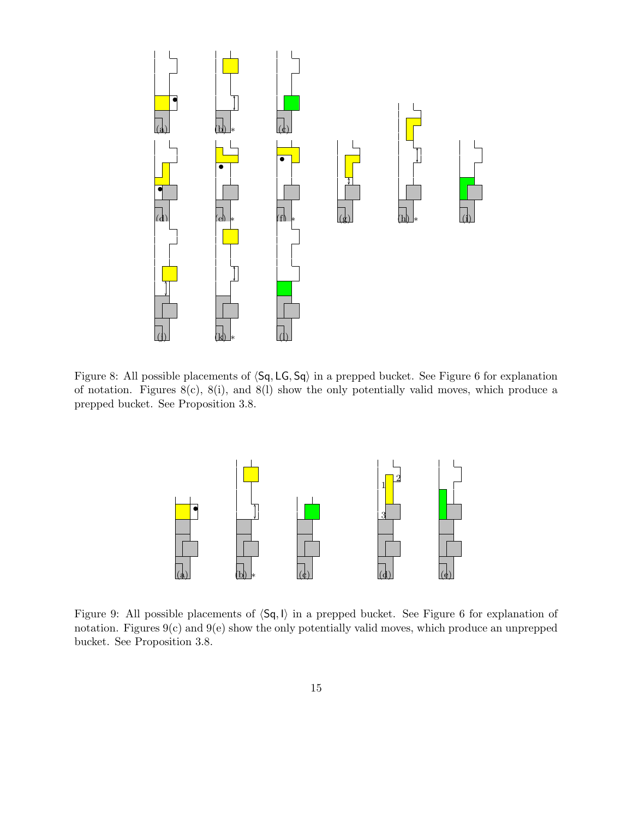

Figure 8: All possible placements of  $\langle Sq, LG, Sq \rangle$  in a prepped bucket. See Figure 6 for explanation of notation. Figures  $8(c)$ ,  $8(i)$ , and  $8(l)$  show the only potentially valid moves, which produce a prepped bucket. See Proposition 3.8.



Figure 9: All possible placements of  $\langle Sq, I \rangle$  in a prepped bucket. See Figure 6 for explanation of notation. Figures 9(c) and 9(e) show the only potentially valid moves, which produce an unprepped bucket. See Proposition 3.8.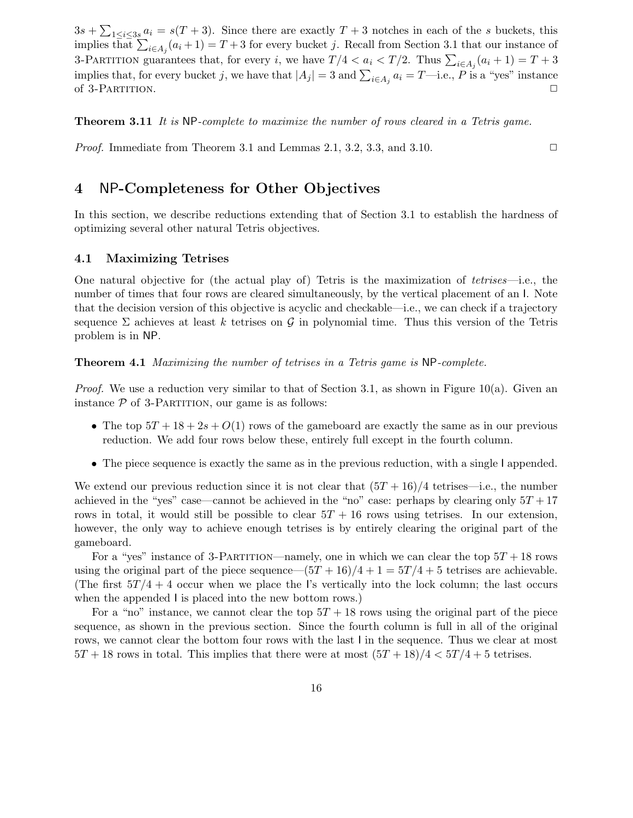$3s + \sum_{1 \leq i \leq 3s} a_i = s(T+3)$ . Since there are exactly  $T+3$  notches in each of the s buckets, this implies that  $\sum_{i\in A_j}(a_i+1) = T+3$  for every bucket j. Recall from Section 3.1 that our instance of 3-PARTITION guarantees that, for every *i*, we have  $T/4 < a_i < T/2$ . Thus  $\sum_{i \in A_j} (a_i + 1) = T + 3$ implies that, for every bucket j, we have that  $|A_j| = 3$  and  $\sum_{i \in A_j} a_i = T$ —i.e., P is a "yes" instance of 3-PARTITION.  $\Box$ 

Theorem 3.11 It is NP-complete to maximize the number of rows cleared in a Tetris game.

*Proof.* Immediate from Theorem 3.1 and Lemmas 2.1, 3.2, 3.3, and 3.10.  $\Box$ 

## 4 NP-Completeness for Other Objectives

In this section, we describe reductions extending that of Section 3.1 to establish the hardness of optimizing several other natural Tetris objectives.

#### 4.1 Maximizing Tetrises

One natural objective for (the actual play of) Tetris is the maximization of *tetrises—i.e.*, the number of times that four rows are cleared simultaneously, by the vertical placement of an I. Note that the decision version of this objective is acyclic and checkable—i.e., we can check if a trajectory sequence  $\Sigma$  achieves at least k tetrises on G in polynomial time. Thus this version of the Tetris problem is in NP.

Theorem 4.1 Maximizing the number of tetrises in a Tetris game is NP-complete.

*Proof.* We use a reduction very similar to that of Section 3.1, as shown in Figure 10(a). Given an instance  $P$  of 3-PARTITION, our game is as follows:

- The top  $5T + 18 + 2s + O(1)$  rows of the gameboard are exactly the same as in our previous reduction. We add four rows below these, entirely full except in the fourth column.
- The piece sequence is exactly the same as in the previous reduction, with a single I appended.

We extend our previous reduction since it is not clear that  $(5T + 16)/4$  tetrises—i.e., the number achieved in the "yes" case—cannot be achieved in the "no" case: perhaps by clearing only  $5T + 17$ rows in total, it would still be possible to clear  $5T + 16$  rows using tetrises. In our extension, however, the only way to achieve enough tetrises is by entirely clearing the original part of the gameboard.

For a "yes" instance of 3-PARTITION—namely, one in which we can clear the top  $5T + 18$  rows using the original part of the piece sequence— $(5T+16)/4+1=5T/4+5$  tetrises are achievable. (The first  $5T/4 + 4$  occur when we place the I's vertically into the lock column; the last occurs when the appended I is placed into the new bottom rows.)

For a "no" instance, we cannot clear the top  $5T + 18$  rows using the original part of the piece sequence, as shown in the previous section. Since the fourth column is full in all of the original rows, we cannot clear the bottom four rows with the last I in the sequence. Thus we clear at most  $5T + 18$  rows in total. This implies that there were at most  $(5T + 18)/4 < 5T/4 + 5$  tetrises.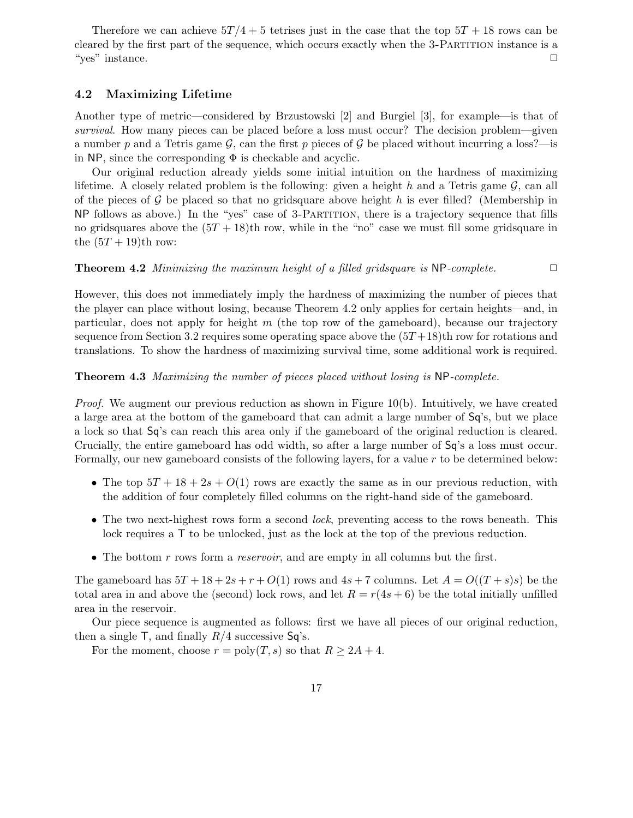Therefore we can achieve  $5T/4 + 5$  tetrises just in the case that the top  $5T + 18$  rows can be cleared by the first part of the sequence, which occurs exactly when the 3-Partition instance is a "yes" instance. ✷

#### 4.2 Maximizing Lifetime

Another type of metric—considered by Brzustowski [2] and Burgiel [3], for example—is that of survival. How many pieces can be placed before a loss must occur? The decision problem—given a number p and a Tetris game  $\mathcal G$ , can the first p pieces of  $\mathcal G$  be placed without incurring a loss?—is in NP, since the corresponding  $\Phi$  is checkable and acyclic.

Our original reduction already yields some initial intuition on the hardness of maximizing lifetime. A closely related problem is the following: given a height h and a Tetris game  $\mathcal{G}$ , can all of the pieces of  $\mathcal G$  be placed so that no gridsquare above height h is ever filled? (Membership in NP follows as above.) In the "yes" case of 3-Partition, there is a trajectory sequence that fills no gridsquares above the  $(5T + 18)$ th row, while in the "no" case we must fill some gridsquare in the  $(5T + 19)$ th row:

#### **Theorem 4.2** Minimizing the maximum height of a filled gridsquare is  $NP$ -complete.  $\Box$

However, this does not immediately imply the hardness of maximizing the number of pieces that the player can place without losing, because Theorem 4.2 only applies for certain heights—and, in particular, does not apply for height  $m$  (the top row of the gameboard), because our trajectory sequence from Section 3.2 requires some operating space above the  $(5T+18)$ th row for rotations and translations. To show the hardness of maximizing survival time, some additional work is required.

#### Theorem 4.3 Maximizing the number of pieces placed without losing is NP-complete.

*Proof.* We augment our previous reduction as shown in Figure 10(b). Intuitively, we have created a large area at the bottom of the gameboard that can admit a large number of Sq's, but we place a lock so that Sq's can reach this area only if the gameboard of the original reduction is cleared. Crucially, the entire gameboard has odd width, so after a large number of Sq's a loss must occur. Formally, our new gameboard consists of the following layers, for a value  $r$  to be determined below:

- The top  $5T + 18 + 2s + O(1)$  rows are exactly the same as in our previous reduction, with the addition of four completely filled columns on the right-hand side of the gameboard.
- The two next-highest rows form a second *lock*, preventing access to the rows beneath. This lock requires a T to be unlocked, just as the lock at the top of the previous reduction.
- The bottom  $r$  rows form a *reservoir*, and are empty in all columns but the first.

The gameboard has  $5T+18+2s+r+O(1)$  rows and  $4s+7$  columns. Let  $A=O((T+s)s)$  be the total area in and above the (second) lock rows, and let  $R = r(4s + 6)$  be the total initially unfilled area in the reservoir.

Our piece sequence is augmented as follows: first we have all pieces of our original reduction, then a single  $\mathsf{T}$ , and finally  $R/4$  successive  $\mathsf{Sq}$ 's.

For the moment, choose  $r = \text{poly}(T, s)$  so that  $R \geq 2A + 4$ .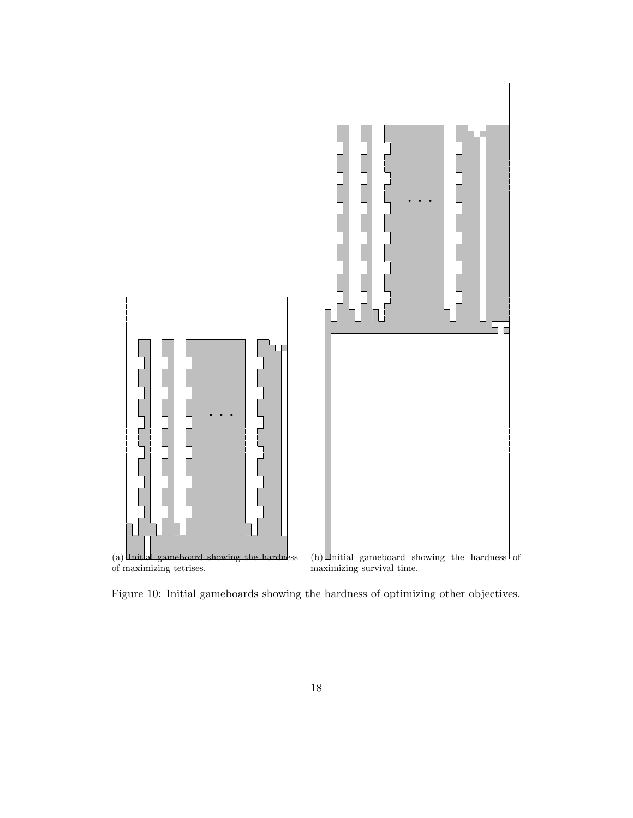

Figure 10: Initial gameboards showing the hardness of optimizing other objectives.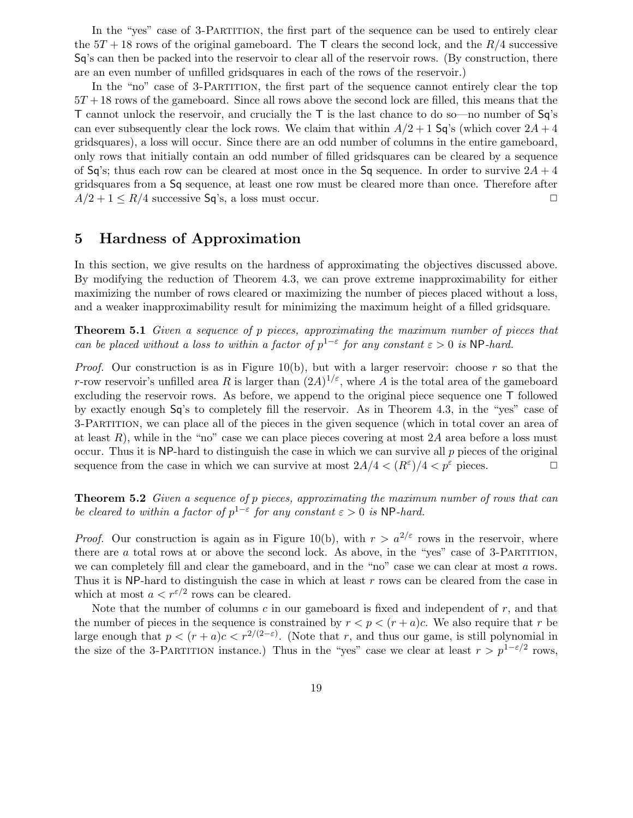In the "yes" case of 3-PARTITION, the first part of the sequence can be used to entirely clear the  $5T + 18$  rows of the original gameboard. The T clears the second lock, and the  $R/4$  successive Sq's can then be packed into the reservoir to clear all of the reservoir rows. (By construction, there are an even number of unfilled gridsquares in each of the rows of the reservoir.)

In the "no" case of 3-PARTITION, the first part of the sequence cannot entirely clear the top  $5T + 18$  rows of the gameboard. Since all rows above the second lock are filled, this means that the T cannot unlock the reservoir, and crucially the T is the last chance to do so—no number of Sq's can ever subsequently clear the lock rows. We claim that within  $A/2 + 1$  Sq's (which cover  $2A + 4$ gridsquares), a loss will occur. Since there are an odd number of columns in the entire gameboard, only rows that initially contain an odd number of filled gridsquares can be cleared by a sequence of Sq's; thus each row can be cleared at most once in the Sq sequence. In order to survive  $2A + 4$ gridsquares from a Sq sequence, at least one row must be cleared more than once. Therefore after  $A/2 + 1 \le R/4$  successive Sq's, a loss must occur.

## 5 Hardness of Approximation

In this section, we give results on the hardness of approximating the objectives discussed above. By modifying the reduction of Theorem 4.3, we can prove extreme inapproximability for either maximizing the number of rows cleared or maximizing the number of pieces placed without a loss, and a weaker inapproximability result for minimizing the maximum height of a filled gridsquare.

Theorem 5.1 Given a sequence of p pieces, approximating the maximum number of pieces that can be placed without a loss to within a factor of  $p^{1-\epsilon}$  for any constant  $\varepsilon > 0$  is NP-hard.

*Proof.* Our construction is as in Figure 10(b), but with a larger reservoir: choose r so that the r-row reservoir's unfilled area R is larger than  $(2A)^{1/\varepsilon}$ , where A is the total area of the gameboard excluding the reservoir rows. As before, we append to the original piece sequence one T followed by exactly enough Sq's to completely fill the reservoir. As in Theorem 4.3, in the "yes" case of 3-Partition, we can place all of the pieces in the given sequence (which in total cover an area of at least  $R$ ), while in the "no" case we can place pieces covering at most  $2A$  area before a loss must occur. Thus it is NP-hard to distinguish the case in which we can survive all  $p$  pieces of the original sequence from the case in which we can survive at most  $2A/4 < (R^{\varepsilon})/4 < p^{\varepsilon}$  pieces.

Theorem 5.2 Given a sequence of p pieces, approximating the maximum number of rows that can be cleared to within a factor of  $p^{1-\epsilon}$  for any constant  $\varepsilon > 0$  is NP-hard.

*Proof.* Our construction is again as in Figure 10(b), with  $r > a^{2/\epsilon}$  rows in the reservoir, where there are a total rows at or above the second lock. As above, in the "yes" case of 3-PARTITION, we can completely fill and clear the gameboard, and in the "no" case we can clear at most a rows. Thus it is NP-hard to distinguish the case in which at least r rows can be cleared from the case in which at most  $a < r^{\epsilon/2}$  rows can be cleared.

Note that the number of columns  $c$  in our gameboard is fixed and independent of  $r$ , and that the number of pieces in the sequence is constrained by  $r < p < (r + a)c$ . We also require that r be large enough that  $p < (r + a)c < r^{2/(2-\epsilon)}$ . (Note that r, and thus our game, is still polynomial in the size of the 3-PARTITION instance.) Thus in the "yes" case we clear at least  $r > p^{1-\epsilon/2}$  rows,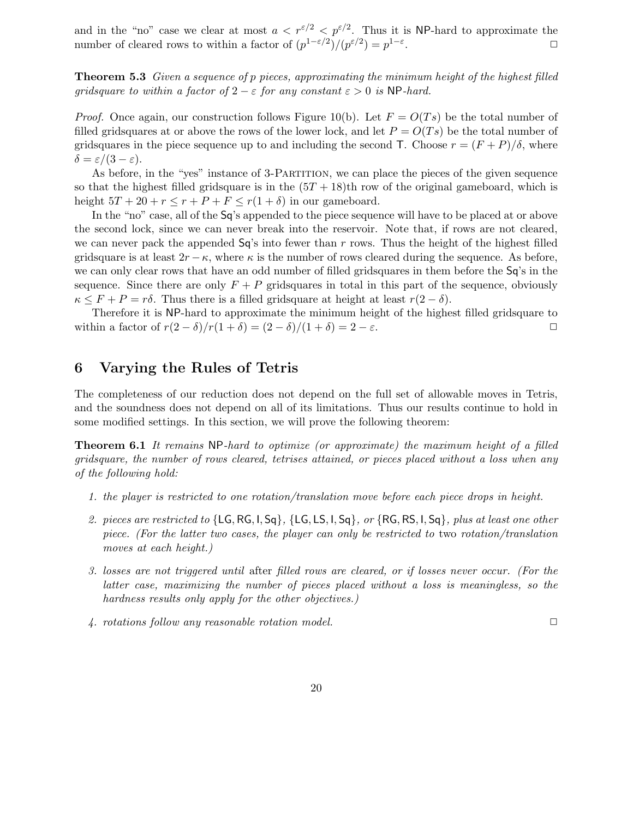and in the "no" case we clear at most  $a < r^{5/2} < p^{5/2}$ . Thus it is NP-hard to approximate the number of cleared rows to within a factor of  $(p^{1-\varepsilon/2})/(p^{\varepsilon/2}) = p^{1-\varepsilon}$ .  $\Box$ 

**Theorem 5.3** Given a sequence of p pieces, approximating the minimum height of the highest filled gridsquare to within a factor of  $2 - \varepsilon$  for any constant  $\varepsilon > 0$  is NP-hard.

*Proof.* Once again, our construction follows Figure 10(b). Let  $F = O(Ts)$  be the total number of filled gridsquares at or above the rows of the lower lock, and let  $P = O(T<sub>s</sub>)$  be the total number of gridsquares in the piece sequence up to and including the second T. Choose  $r = (F + P)/\delta$ , where  $\delta = \varepsilon/(3-\varepsilon).$ 

As before, in the "yes" instance of 3-PARTITION, we can place the pieces of the given sequence so that the highest filled gridsquare is in the  $(5T + 18)$ th row of the original gameboard, which is height  $5T + 20 + r \le r + P + F \le r(1 + \delta)$  in our gameboard.

In the "no" case, all of the Sq's appended to the piece sequence will have to be placed at or above the second lock, since we can never break into the reservoir. Note that, if rows are not cleared, we can never pack the appended  $Sq's$  into fewer than r rows. Thus the height of the highest filled gridsquare is at least  $2r - \kappa$ , where  $\kappa$  is the number of rows cleared during the sequence. As before, we can only clear rows that have an odd number of filled gridsquares in them before the Sq's in the sequence. Since there are only  $F + P$  gridsquares in total in this part of the sequence, obviously  $\kappa \leq F + P = r\delta$ . Thus there is a filled gridsquare at height at least  $r(2-\delta)$ .

Therefore it is NP-hard to approximate the minimum height of the highest filled gridsquare to within a factor of  $r(2 - \delta)/r(1 + \delta) = (2 - \delta)/(1 + \delta) = 2 - \varepsilon$ .

## 6 Varying the Rules of Tetris

The completeness of our reduction does not depend on the full set of allowable moves in Tetris, and the soundness does not depend on all of its limitations. Thus our results continue to hold in some modified settings. In this section, we will prove the following theorem:

Theorem 6.1 It remains NP-hard to optimize (or approximate) the maximum height of a filled gridsquare, the number of rows cleared, tetrises attained, or pieces placed without a loss when any of the following hold:

- 1. the player is restricted to one rotation/translation move before each piece drops in height.
- 2. pieces are restricted to  $\{LG, RG, I, Sq\}$ ,  $\{LG, LS, I, Sq\}$ , or  $\{RG, RS, I, Sq\}$ , plus at least one other piece. (For the latter two cases, the player can only be restricted to two rotation/translation moves at each height.)
- 3. losses are not triggered until after filled rows are cleared, or if losses never occur. (For the latter case, maximizing the number of pieces placed without a loss is meaningless, so the hardness results only apply for the other objectives.)
- 4. rotations follow any reasonable rotation model.  $\Box$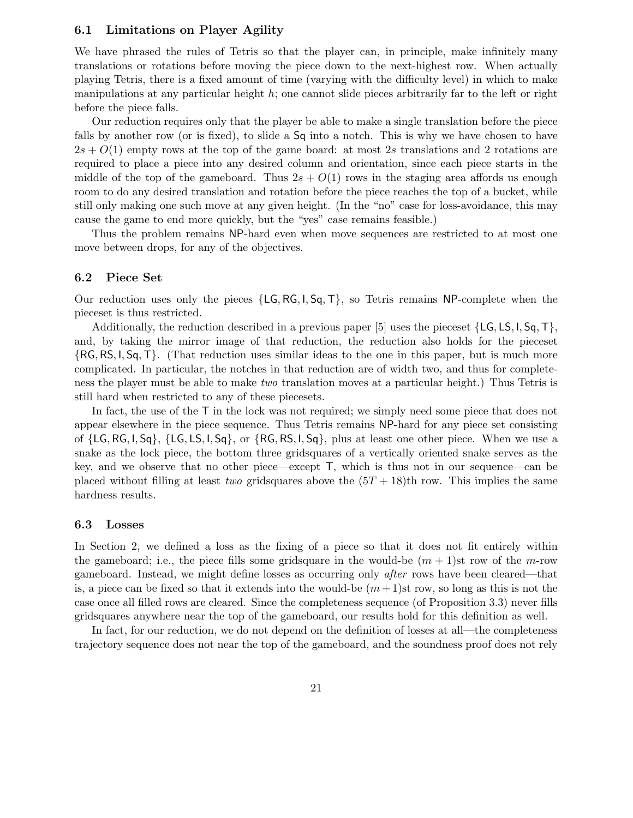#### 6.1 Limitations on Player Agility

We have phrased the rules of Tetris so that the player can, in principle, make infinitely many translations or rotations before moving the piece down to the next-highest row. When actually playing Tetris, there is a fixed amount of time (varying with the difficulty level) in which to make manipulations at any particular height  $h$ ; one cannot slide pieces arbitrarily far to the left or right before the piece falls.

Our reduction requires only that the player be able to make a single translation before the piece falls by another row (or is fixed), to slide a  $Sq$  into a notch. This is why we have chosen to have  $2s + O(1)$  empty rows at the top of the game board: at most 2s translations and 2 rotations are required to place a piece into any desired column and orientation, since each piece starts in the middle of the top of the gameboard. Thus  $2s + O(1)$  rows in the staging area affords us enough room to do any desired translation and rotation before the piece reaches the top of a bucket, while still only making one such move at any given height. (In the "no" case for loss-avoidance, this may cause the game to end more quickly, but the "yes" case remains feasible.)

Thus the problem remains NP-hard even when move sequences are restricted to at most one move between drops, for any of the objectives.

#### 6.2 Piece Set

Our reduction uses only the pieces  $\{LG, RG, I, Sq, T\}$ , so Tetris remains NP-complete when the pieceset is thus restricted.

Additionally, the reduction described in a previous paper [5] uses the pieceset  $\{LG, LS, I, Sq, T\}$ , and, by taking the mirror image of that reduction, the reduction also holds for the pieceset  $\{RG, RS, I, Sq, T\}.$  (That reduction uses similar ideas to the one in this paper, but is much more complicated. In particular, the notches in that reduction are of width two, and thus for completeness the player must be able to make two translation moves at a particular height.) Thus Tetris is still hard when restricted to any of these piecesets.

In fact, the use of the T in the lock was not required; we simply need some piece that does not appear elsewhere in the piece sequence. Thus Tetris remains NP-hard for any piece set consisting of  $\{LG, RG, I, Sq\}, \{LG, LS, I, Sq\}, \text{or } \{RG, RS, I, Sq\}, \text{plus at least one other piece. When we use a$ snake as the lock piece, the bottom three gridsquares of a vertically oriented snake serves as the key, and we observe that no other piece—except  $\mathsf{T}$ , which is thus not in our sequence—can be placed without filling at least two gridsquares above the  $(5T + 18)$ th row. This implies the same hardness results.

#### 6.3 Losses

In Section 2, we defined a loss as the fixing of a piece so that it does not fit entirely within the gameboard; i.e., the piece fills some gridsquare in the would-be  $(m + 1)$ st row of the m-row gameboard. Instead, we might define losses as occurring only after rows have been cleared—that is, a piece can be fixed so that it extends into the would-be  $(m+1)$ st row, so long as this is not the case once all filled rows are cleared. Since the completeness sequence (of Proposition 3.3) never fills gridsquares anywhere near the top of the gameboard, our results hold for this definition as well.

In fact, for our reduction, we do not depend on the definition of losses at all—the completeness trajectory sequence does not near the top of the gameboard, and the soundness proof does not rely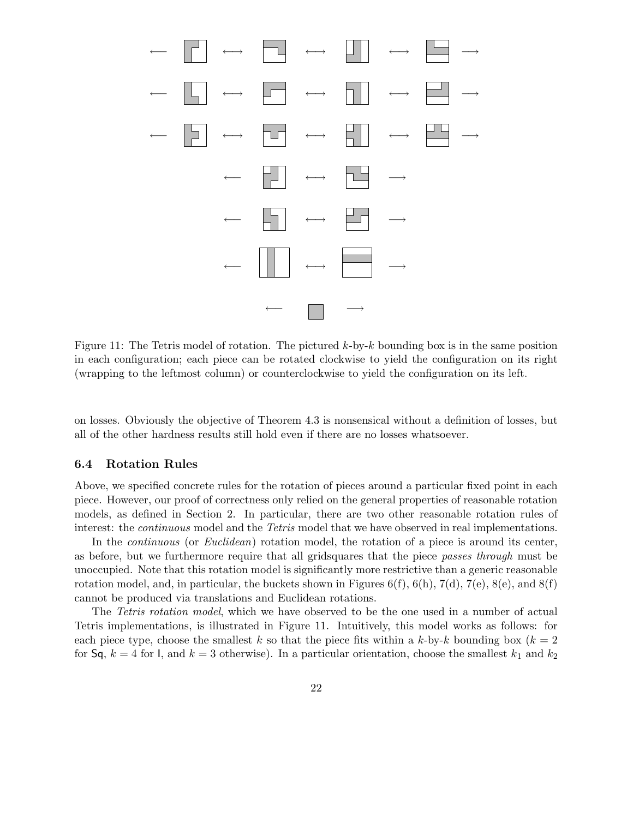

Figure 11: The Tetris model of rotation. The pictured  $k$ -by- $k$  bounding box is in the same position in each configuration; each piece can be rotated clockwise to yield the configuration on its right (wrapping to the leftmost column) or counterclockwise to yield the configuration on its left.

on losses. Obviously the objective of Theorem 4.3 is nonsensical without a definition of losses, but all of the other hardness results still hold even if there are no losses whatsoever.

#### 6.4 Rotation Rules

Above, we specified concrete rules for the rotation of pieces around a particular fixed point in each piece. However, our proof of correctness only relied on the general properties of reasonable rotation models, as defined in Section 2. In particular, there are two other reasonable rotation rules of interest: the *continuous* model and the *Tetris* model that we have observed in real implementations.

In the *continuous* (or *Euclidean*) rotation model, the rotation of a piece is around its center, as before, but we furthermore require that all gridsquares that the piece passes through must be unoccupied. Note that this rotation model is significantly more restrictive than a generic reasonable rotation model, and, in particular, the buckets shown in Figures  $6(f)$ ,  $6(h)$ ,  $7(d)$ ,  $7(e)$ ,  $8(e)$ , and  $8(f)$ cannot be produced via translations and Euclidean rotations.

The Tetris rotation model, which we have observed to be the one used in a number of actual Tetris implementations, is illustrated in Figure 11. Intuitively, this model works as follows: for each piece type, choose the smallest k so that the piece fits within a k-by-k bounding box  $(k = 2)$ for Sq,  $k = 4$  for I, and  $k = 3$  otherwise). In a particular orientation, choose the smallest  $k_1$  and  $k_2$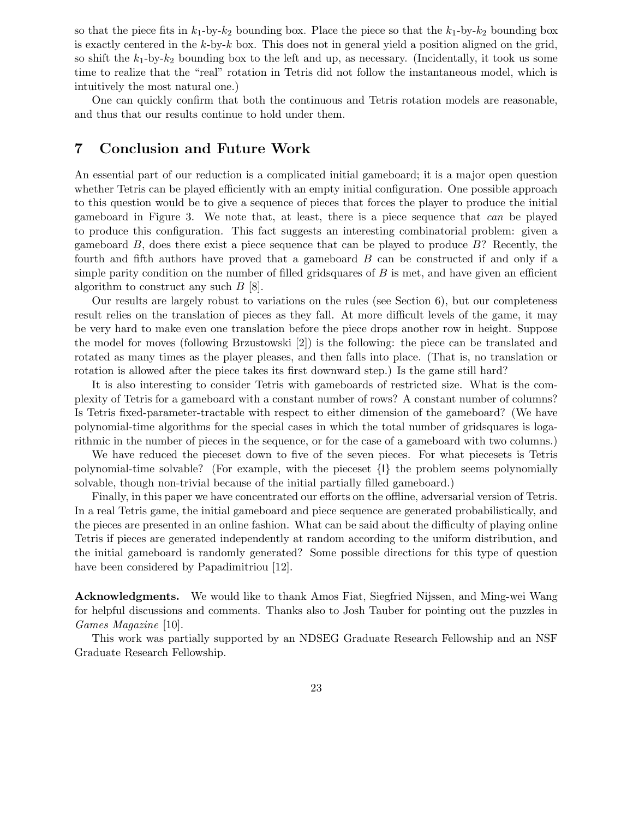so that the piece fits in  $k_1$ -by- $k_2$  bounding box. Place the piece so that the  $k_1$ -by- $k_2$  bounding box is exactly centered in the  $k$ -by- $k$  box. This does not in general yield a position aligned on the grid, so shift the  $k_1$ -by- $k_2$  bounding box to the left and up, as necessary. (Incidentally, it took us some time to realize that the "real" rotation in Tetris did not follow the instantaneous model, which is intuitively the most natural one.)

One can quickly confirm that both the continuous and Tetris rotation models are reasonable, and thus that our results continue to hold under them.

### 7 Conclusion and Future Work

An essential part of our reduction is a complicated initial gameboard; it is a major open question whether Tetris can be played efficiently with an empty initial configuration. One possible approach to this question would be to give a sequence of pieces that forces the player to produce the initial gameboard in Figure 3. We note that, at least, there is a piece sequence that can be played to produce this configuration. This fact suggests an interesting combinatorial problem: given a gameboard  $B$ , does there exist a piece sequence that can be played to produce  $B$ ? Recently, the fourth and fifth authors have proved that a gameboard B can be constructed if and only if a simple parity condition on the number of filled gridsquares of  $B$  is met, and have given an efficient algorithm to construct any such  $B$  [8].

Our results are largely robust to variations on the rules (see Section 6), but our completeness result relies on the translation of pieces as they fall. At more difficult levels of the game, it may be very hard to make even one translation before the piece drops another row in height. Suppose the model for moves (following Brzustowski [2]) is the following: the piece can be translated and rotated as many times as the player pleases, and then falls into place. (That is, no translation or rotation is allowed after the piece takes its first downward step.) Is the game still hard?

It is also interesting to consider Tetris with gameboards of restricted size. What is the complexity of Tetris for a gameboard with a constant number of rows? A constant number of columns? Is Tetris fixed-parameter-tractable with respect to either dimension of the gameboard? (We have polynomial-time algorithms for the special cases in which the total number of gridsquares is logarithmic in the number of pieces in the sequence, or for the case of a gameboard with two columns.)

We have reduced the pieceset down to five of the seven pieces. For what piecesets is Tetris polynomial-time solvable? (For example, with the pieceset {I} the problem seems polynomially solvable, though non-trivial because of the initial partially filled gameboard.)

Finally, in this paper we have concentrated our efforts on the offline, adversarial version of Tetris. In a real Tetris game, the initial gameboard and piece sequence are generated probabilistically, and the pieces are presented in an online fashion. What can be said about the difficulty of playing online Tetris if pieces are generated independently at random according to the uniform distribution, and the initial gameboard is randomly generated? Some possible directions for this type of question have been considered by Papadimitriou [12].

Acknowledgments. We would like to thank Amos Fiat, Siegfried Nijssen, and Ming-wei Wang for helpful discussions and comments. Thanks also to Josh Tauber for pointing out the puzzles in Games Magazine [10].

This work was partially supported by an NDSEG Graduate Research Fellowship and an NSF Graduate Research Fellowship.